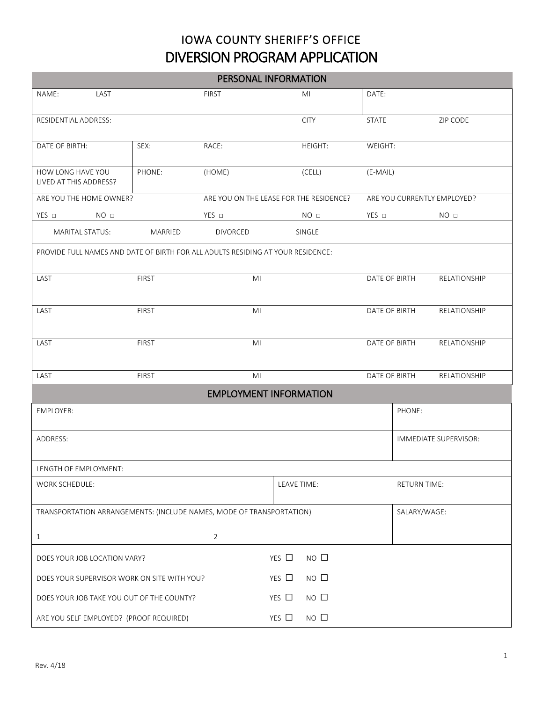## IOWA COUNTY SHERIFF'S OFFICE DIVERSION PROGRAM APPLICATION

| PERSONAL INFORMATION                                                            |              |                                         |                 |                             |                     |                       |
|---------------------------------------------------------------------------------|--------------|-----------------------------------------|-----------------|-----------------------------|---------------------|-----------------------|
| NAME:<br>LAST                                                                   |              | <b>FIRST</b>                            | MI              | DATE:                       |                     |                       |
|                                                                                 |              |                                         |                 |                             |                     |                       |
| RESIDENTIAL ADDRESS:                                                            |              |                                         | <b>CITY</b>     | <b>STATE</b>                |                     | ZIP CODE              |
| DATE OF BIRTH:                                                                  | SEX:         | RACE:                                   | <b>HEIGHT:</b>  | WEIGHT:                     |                     |                       |
|                                                                                 |              |                                         |                 |                             |                     |                       |
| HOW LONG HAVE YOU<br>LIVED AT THIS ADDRESS?                                     | PHONE:       | (HOME)                                  | (CELL)          | (E-MAIL)                    |                     |                       |
| ARE YOU THE HOME OWNER?                                                         |              | ARE YOU ON THE LEASE FOR THE RESIDENCE? |                 | ARE YOU CURRENTLY EMPLOYED? |                     |                       |
| $YES$ $\square$<br>NO <sub>□</sub>                                              |              | YES □                                   | NO <sub>□</sub> | YES □                       |                     | NO <sub>□</sub>       |
| <b>MARITAL STATUS:</b>                                                          | MARRIED      | <b>DIVORCED</b>                         | SINGLE          |                             |                     |                       |
| PROVIDE FULL NAMES AND DATE OF BIRTH FOR ALL ADULTS RESIDING AT YOUR RESIDENCE: |              |                                         |                 |                             |                     |                       |
| LAST                                                                            | <b>FIRST</b> | MI                                      |                 | DATE OF BIRTH               |                     | RELATIONSHIP          |
|                                                                                 |              |                                         |                 |                             |                     |                       |
| LAST                                                                            | <b>FIRST</b> | M <sub>l</sub>                          |                 | DATE OF BIRTH               |                     | <b>RELATIONSHIP</b>   |
|                                                                                 |              |                                         |                 |                             |                     |                       |
| LAST                                                                            | <b>FIRST</b> | MI                                      |                 | DATE OF BIRTH               |                     | RELATIONSHIP          |
|                                                                                 |              |                                         |                 |                             |                     |                       |
| LAST                                                                            | <b>FIRST</b> | MI                                      |                 | DATE OF BIRTH               |                     | RELATIONSHIP          |
| <b>EMPLOYMENT INFORMATION</b>                                                   |              |                                         |                 |                             |                     |                       |
| <b>EMPLOYER:</b>                                                                |              |                                         |                 |                             | PHONE:              |                       |
|                                                                                 |              |                                         |                 |                             |                     |                       |
| ADDRESS:                                                                        |              |                                         |                 |                             |                     | IMMEDIATE SUPERVISOR: |
|                                                                                 |              |                                         |                 |                             |                     |                       |
| LENGTH OF EMPLOYMENT:<br>WORK SCHEDULE:                                         |              |                                         | LEAVE TIME:     |                             | <b>RETURN TIME:</b> |                       |
|                                                                                 |              |                                         |                 |                             |                     |                       |
| TRANSPORTATION ARRANGEMENTS: (INCLUDE NAMES, MODE OF TRANSPORTATION)            |              |                                         |                 | SALARY/WAGE:                |                     |                       |
|                                                                                 |              |                                         |                 |                             |                     |                       |
| $\mathbf{1}$                                                                    |              | $\overline{2}$                          |                 |                             |                     |                       |
| $NO$ $\Box$<br>YES $\Box$<br>DOES YOUR JOB LOCATION VARY?                       |              |                                         |                 |                             |                     |                       |
| $NO$ $\Box$<br>YES $\Box$<br>DOES YOUR SUPERVISOR WORK ON SITE WITH YOU?        |              |                                         |                 |                             |                     |                       |
| $NO$ $\Box$<br>YES $\Box$<br>DOES YOUR JOB TAKE YOU OUT OF THE COUNTY?          |              |                                         |                 |                             |                     |                       |
| $NO$ $\Box$<br>YES $\Box$<br>ARE YOU SELF EMPLOYED? (PROOF REQUIRED)            |              |                                         |                 |                             |                     |                       |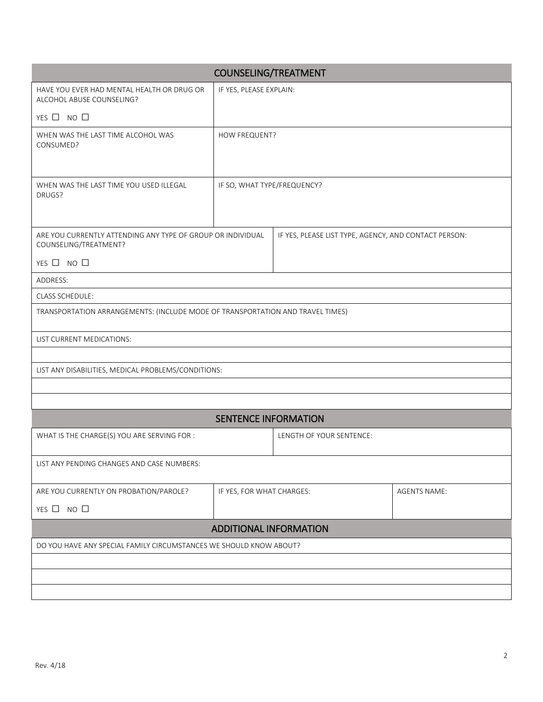| COUNSELING/TREATMENT                                                                 |                             |                                                       |  |  |  |  |
|--------------------------------------------------------------------------------------|-----------------------------|-------------------------------------------------------|--|--|--|--|
| HAVE YOU EVER HAD MENTAL HEALTH OR DRUG OR<br>ALCOHOL ABUSE COUNSELING?              | IF YES, PLEASE EXPLAIN:     |                                                       |  |  |  |  |
| YES $\Box$ NO $\Box$                                                                 |                             |                                                       |  |  |  |  |
| WHEN WAS THE LAST TIME ALCOHOL WAS<br>CONSUMED?                                      | HOW FREQUENT?               |                                                       |  |  |  |  |
| WHEN WAS THE LAST TIME YOU USED ILLEGAL<br>DRUGS?                                    | IF SO, WHAT TYPE/FREQUENCY? |                                                       |  |  |  |  |
| ARE YOU CURRENTLY ATTENDING ANY TYPE OF GROUP OR INDIVIDUAL<br>COUNSELING/TREATMENT? |                             | IF YES, PLEASE LIST TYPE, AGENCY, AND CONTACT PERSON: |  |  |  |  |
| YES $\Box$ NO $\Box$                                                                 |                             |                                                       |  |  |  |  |
| ADDRESS:                                                                             |                             |                                                       |  |  |  |  |
| CLASS SCHEDULE:                                                                      |                             |                                                       |  |  |  |  |
| TRANSPORTATION ARRANGEMENTS: (INCLUDE MODE OF TRANSPORTATION AND TRAVEL TIMES)       |                             |                                                       |  |  |  |  |
| LIST CURRENT MEDICATIONS:                                                            |                             |                                                       |  |  |  |  |
|                                                                                      |                             |                                                       |  |  |  |  |
| LIST ANY DISABILITIES, MEDICAL PROBLEMS/CONDITIONS:                                  |                             |                                                       |  |  |  |  |
|                                                                                      |                             |                                                       |  |  |  |  |
|                                                                                      |                             |                                                       |  |  |  |  |
|                                                                                      | <b>SENTENCE INFORMATION</b> |                                                       |  |  |  |  |
| WHAT IS THE CHARGE(S) YOU ARE SERVING FOR :                                          |                             | LENGTH OF YOUR SENTENCE:                              |  |  |  |  |
| LIST ANY PENDING CHANGES AND CASE NUMBERS:                                           |                             |                                                       |  |  |  |  |
| ARE YOU CURRENTLY ON PROBATION/PAROLE?                                               |                             | IF YES, FOR WHAT CHARGES:<br><b>AGENTS NAME:</b>      |  |  |  |  |
| YES $\Box$ NO $\Box$                                                                 |                             |                                                       |  |  |  |  |
| <b>ADDITIONAL INFORMATION</b>                                                        |                             |                                                       |  |  |  |  |
| DO YOU HAVE ANY SPECIAL FAMILY CIRCUMSTANCES WE SHOULD KNOW ABOUT?                   |                             |                                                       |  |  |  |  |
|                                                                                      |                             |                                                       |  |  |  |  |
|                                                                                      |                             |                                                       |  |  |  |  |
|                                                                                      |                             |                                                       |  |  |  |  |